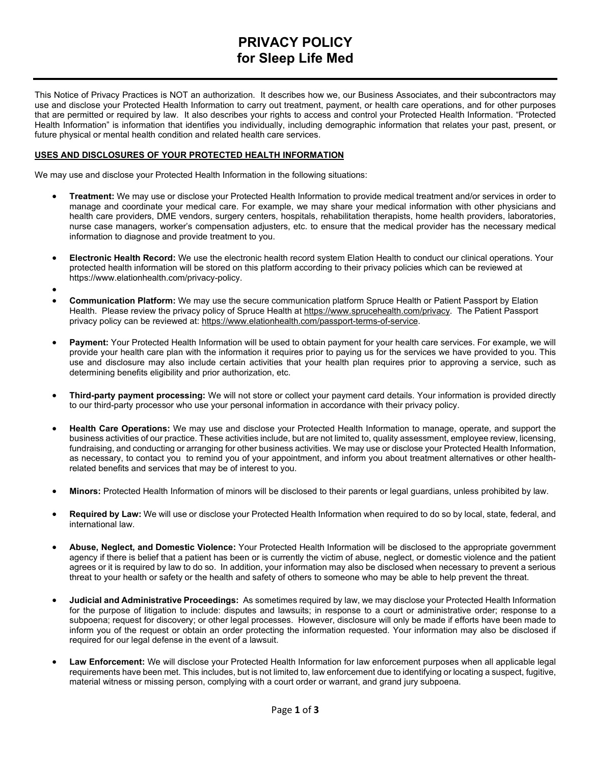# **PRIVACY POLICY for Sleep Life Med**

This Notice of Privacy Practices is NOT an authorization. It describes how we, our Business Associates, and their subcontractors may use and disclose your Protected Health Information to carry out treatment, payment, or health care operations, and for other purposes that are permitted or required by law. It also describes your rights to access and control your Protected Health Information. "Protected Health Information" is information that identifies you individually, including demographic information that relates your past, present, or future physical or mental health condition and related health care services.

## **USES AND DISCLOSURES OF YOUR PROTECTED HEALTH INFORMATION**

We may use and disclose your Protected Health Information in the following situations:

- **Treatment:** We may use or disclose your Protected Health Information to provide medical treatment and/or services in order to manage and coordinate your medical care. For example, we may share your medical information with other physicians and health care providers, DME vendors, surgery centers, hospitals, rehabilitation therapists, home health providers, laboratories, nurse case managers, worker's compensation adjusters, etc. to ensure that the medical provider has the necessary medical information to diagnose and provide treatment to you.
- **Electronic Health Record:** We use the electronic health record system Elation Health to conduct our clinical operations. Your protected health information will be stored on this platform according to their privacy policies which can be reviewed at https://www.elationhealth.com/privacy-policy.
- •
- **Communication Platform:** We may use the secure communication platform Spruce Health or Patient Passport by Elation Health. Please review the privacy policy of Spruce Health at [https://www.sprucehealth.com/privacy.](https://www.sprucehealth.com/privacy) The Patient Passport privacy policy can be reviewed at: [https://www.elationhealth.com/passport-terms-of-service.](https://www.elationhealth.com/passport-terms-of-service/)
- **Payment:** Your Protected Health Information will be used to obtain payment for your health care services. For example, we will provide your health care plan with the information it requires prior to paying us for the services we have provided to you. This use and disclosure may also include certain activities that your health plan requires prior to approving a service, such as determining benefits eligibility and prior authorization, etc.
- **Third-party payment processing:** We will not store or collect your payment card details. Your information is provided directly to our third-party processor who use your personal information in accordance with their privacy policy.
- **Health Care Operations:** We may use and disclose your Protected Health Information to manage, operate, and support the business activities of our practice. These activities include, but are not limited to, quality assessment, employee review, licensing, fundraising, and conducting or arranging for other business activities. We may use or disclose your Protected Health Information, as necessary, to contact you to remind you of your appointment, and inform you about treatment alternatives or other healthrelated benefits and services that may be of interest to you.
- **Minors:** Protected Health Information of minors will be disclosed to their parents or legal guardians, unless prohibited by law.
- **Required by Law:** We will use or disclose your Protected Health Information when required to do so by local, state, federal, and international law.
- **Abuse, Neglect, and Domestic Violence:** Your Protected Health Information will be disclosed to the appropriate government agency if there is belief that a patient has been or is currently the victim of abuse, neglect, or domestic violence and the patient agrees or it is required by law to do so. In addition, your information may also be disclosed when necessary to prevent a serious threat to your health or safety or the health and safety of others to someone who may be able to help prevent the threat.
- **Judicial and Administrative Proceedings:** As sometimes required by law, we may disclose your Protected Health Information for the purpose of litigation to include: disputes and lawsuits; in response to a court or administrative order; response to a subpoena; request for discovery; or other legal processes. However, disclosure will only be made if efforts have been made to inform you of the request or obtain an order protecting the information requested. Your information may also be disclosed if required for our legal defense in the event of a lawsuit.
- **Law Enforcement:** We will disclose your Protected Health Information for law enforcement purposes when all applicable legal requirements have been met. This includes, but is not limited to, law enforcement due to identifying or locating a suspect, fugitive, material witness or missing person, complying with a court order or warrant, and grand jury subpoena.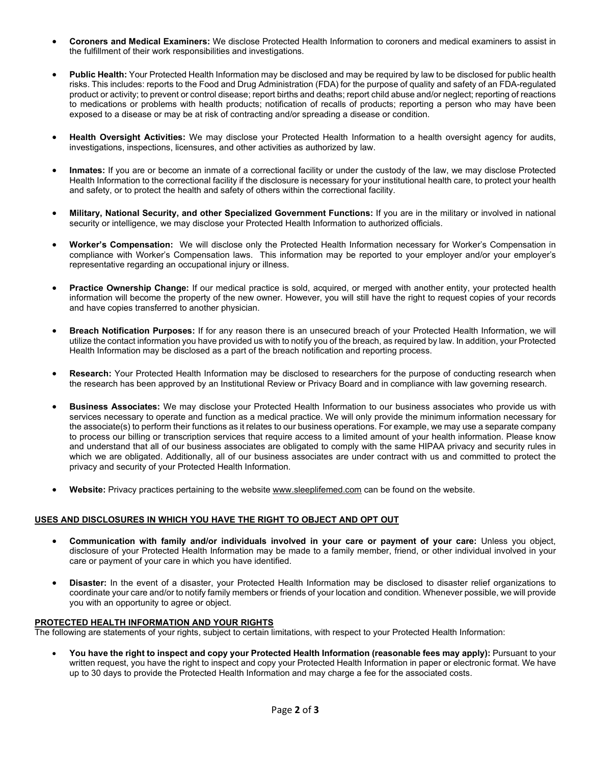- **Coroners and Medical Examiners:** We disclose Protected Health Information to coroners and medical examiners to assist in the fulfillment of their work responsibilities and investigations.
- **Public Health:** Your Protected Health Information may be disclosed and may be required by law to be disclosed for public health risks. This includes: reports to the Food and Drug Administration (FDA) for the purpose of quality and safety of an FDA-regulated product or activity; to prevent or control disease; report births and deaths; report child abuse and/or neglect; reporting of reactions to medications or problems with health products; notification of recalls of products; reporting a person who may have been exposed to a disease or may be at risk of contracting and/or spreading a disease or condition.
- **Health Oversight Activities:** We may disclose your Protected Health Information to a health oversight agency for audits, investigations, inspections, licensures, and other activities as authorized by law.
- **Inmates:** If you are or become an inmate of a correctional facility or under the custody of the law, we may disclose Protected Health Information to the correctional facility if the disclosure is necessary for your institutional health care, to protect your health and safety, or to protect the health and safety of others within the correctional facility.
- **Military, National Security, and other Specialized Government Functions:** If you are in the military or involved in national security or intelligence, we may disclose your Protected Health Information to authorized officials.
- **Worker's Compensation:** We will disclose only the Protected Health Information necessary for Worker's Compensation in compliance with Worker's Compensation laws. This information may be reported to your employer and/or your employer's representative regarding an occupational injury or illness.
- **Practice Ownership Change:** If our medical practice is sold, acquired, or merged with another entity, your protected health information will become the property of the new owner. However, you will still have the right to request copies of your records and have copies transferred to another physician.
- **Breach Notification Purposes:** If for any reason there is an unsecured breach of your Protected Health Information, we will utilize the contact information you have provided us with to notify you of the breach, as required by law. In addition, your Protected Health Information may be disclosed as a part of the breach notification and reporting process.
- **Research:** Your Protected Health Information may be disclosed to researchers for the purpose of conducting research when the research has been approved by an Institutional Review or Privacy Board and in compliance with law governing research.
- **Business Associates:** We may disclose your Protected Health Information to our business associates who provide us with services necessary to operate and function as a medical practice. We will only provide the minimum information necessary for the associate(s) to perform their functions as it relates to our business operations. For example, we may use a separate company to process our billing or transcription services that require access to a limited amount of your health information. Please know and understand that all of our business associates are obligated to comply with the same HIPAA privacy and security rules in which we are obligated. Additionally, all of our business associates are under contract with us and committed to protect the privacy and security of your Protected Health Information.
- **Website:** Privacy practices pertaining to the websit[e www.sleeplifemed.com](http://www.sleeplifemed.com/) can be found on the website.

## **USES AND DISCLOSURES IN WHICH YOU HAVE THE RIGHT TO OBJECT AND OPT OUT**

- **Communication with family and/or individuals involved in your care or payment of your care:** Unless you object, disclosure of your Protected Health Information may be made to a family member, friend, or other individual involved in your care or payment of your care in which you have identified.
- **Disaster:** In the event of a disaster, your Protected Health Information may be disclosed to disaster relief organizations to coordinate your care and/or to notify family members or friends of your location and condition. Whenever possible, we will provide you with an opportunity to agree or object.

#### **PROTECTED HEALTH INFORMATION AND YOUR RIGHTS**

The following are statements of your rights, subject to certain limitations, with respect to your Protected Health Information:

• **You have the right to inspect and copy your Protected Health Information (reasonable fees may apply):** Pursuant to your written request, you have the right to inspect and copy your Protected Health Information in paper or electronic format. We have up to 30 days to provide the Protected Health Information and may charge a fee for the associated costs.